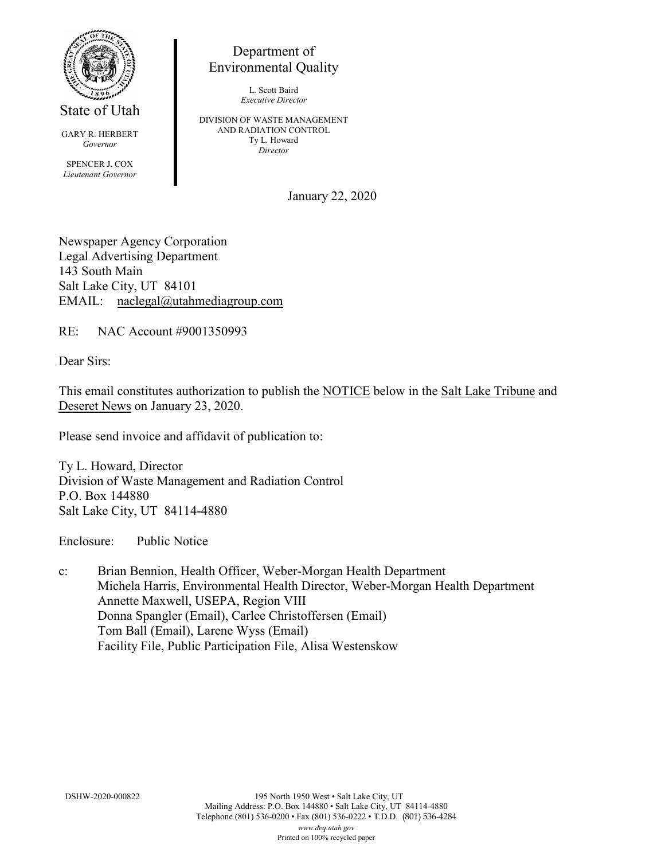

State of Utah

GARY R. HERBERT *Governor* SPENCER J. COX *Lieutenant Governor*

Department of Environmental Quality

> L. Scott Baird *Executive Director*

DIVISION OF WASTE MANAGEMENT AND RADIATION CONTROL Ty L. Howard *Director*

January 22, 2020

Newspaper Agency Corporation Legal Advertising Department 143 South Main Salt Lake City, UT 84101 EMAIL: naclegal@utahmediagroup.com

RE: NAC Account #9001350993

Dear Sirs:

This email constitutes authorization to publish the NOTICE below in the Salt Lake Tribune and Deseret News on January 23, 2020.

Please send invoice and affidavit of publication to:

Ty L. Howard, Director Division of Waste Management and Radiation Control P.O. Box 144880 Salt Lake City, UT 84114-4880

Enclosure: Public Notice

c: Brian Bennion, Health Officer, Weber-Morgan Health Department Michela Harris, Environmental Health Director, Weber-Morgan Health Department Annette Maxwell, USEPA, Region VIII Donna Spangler (Email), Carlee Christoffersen (Email) Tom Ball (Email), Larene Wyss (Email) Facility File, Public Participation File, Alisa Westenskow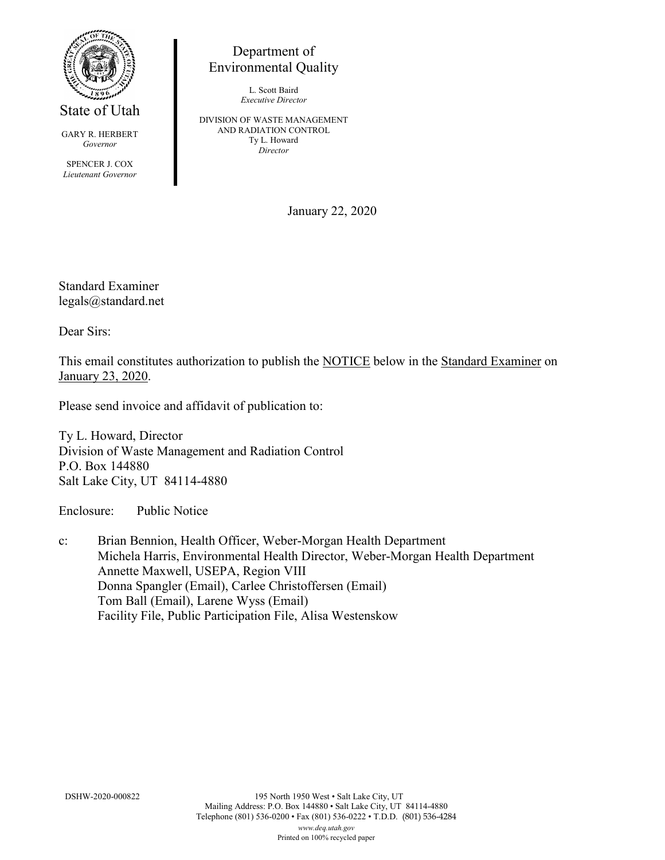

State of Utah

GARY R. HERBERT *Governor*

SPENCER J. COX *Lieutenant Governor*

Department of Environmental Quality

> L. Scott Baird *Executive Director*

DIVISION OF WASTE MANAGEMENT AND RADIATION CONTROL Ty L. Howard *Director*

January 22, 2020

Standard Examiner legals@standard.net

Dear Sirs:

This email constitutes authorization to publish the NOTICE below in the Standard Examiner on January 23, 2020.

Please send invoice and affidavit of publication to:

Ty L. Howard, Director Division of Waste Management and Radiation Control P.O. Box 144880 Salt Lake City, UT 84114-4880

Enclosure: Public Notice

c: Brian Bennion, Health Officer, Weber-Morgan Health Department Michela Harris, Environmental Health Director, Weber-Morgan Health Department Annette Maxwell, USEPA, Region VIII Donna Spangler (Email), Carlee Christoffersen (Email) Tom Ball (Email), Larene Wyss (Email) Facility File, Public Participation File, Alisa Westenskow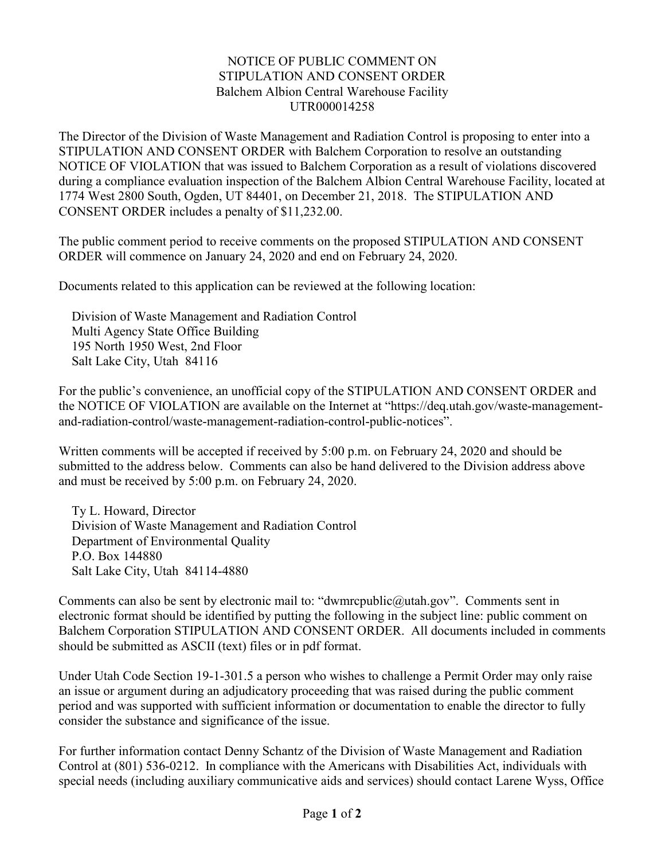## NOTICE OF PUBLIC COMMENT ON STIPULATION AND CONSENT ORDER Balchem Albion Central Warehouse Facility UTR000014258

The Director of the Division of Waste Management and Radiation Control is proposing to enter into a STIPULATION AND CONSENT ORDER with Balchem Corporation to resolve an outstanding NOTICE OF VIOLATION that was issued to Balchem Corporation as a result of violations discovered during a compliance evaluation inspection of the Balchem Albion Central Warehouse Facility, located at 1774 West 2800 South, Ogden, UT 84401, on December 21, 2018. The STIPULATION AND CONSENT ORDER includes a penalty of \$11,232.00.

The public comment period to receive comments on the proposed STIPULATION AND CONSENT ORDER will commence on January 24, 2020 and end on February 24, 2020.

Documents related to this application can be reviewed at the following location:

Division of Waste Management and Radiation Control Multi Agency State Office Building 195 North 1950 West, 2nd Floor Salt Lake City, Utah 84116

For the public's convenience, an unofficial copy of the STIPULATION AND CONSENT ORDER and the NOTICE OF VIOLATION are available on the Internet at "https://deq.utah.gov/waste-managementand-radiation-control/waste-management-radiation-control-public-notices".

Written comments will be accepted if received by 5:00 p.m. on February 24, 2020 and should be submitted to the address below. Comments can also be hand delivered to the Division address above and must be received by 5:00 p.m. on February 24, 2020.

Ty L. Howard, Director Division of Waste Management and Radiation Control Department of Environmental Quality P.O. Box 144880 Salt Lake City, Utah 84114-4880

Comments can also be sent by electronic mail to: "dwmrcpublic@utah.gov". Comments sent in electronic format should be identified by putting the following in the subject line: public comment on Balchem Corporation STIPULATION AND CONSENT ORDER. All documents included in comments should be submitted as ASCII (text) files or in pdf format.

Under Utah Code Section 19-1-301.5 a person who wishes to challenge a Permit Order may only raise an issue or argument during an adjudicatory proceeding that was raised during the public comment period and was supported with sufficient information or documentation to enable the director to fully consider the substance and significance of the issue.

For further information contact Denny Schantz of the Division of Waste Management and Radiation Control at (801) 536-0212. In compliance with the Americans with Disabilities Act, individuals with special needs (including auxiliary communicative aids and services) should contact Larene Wyss, Office